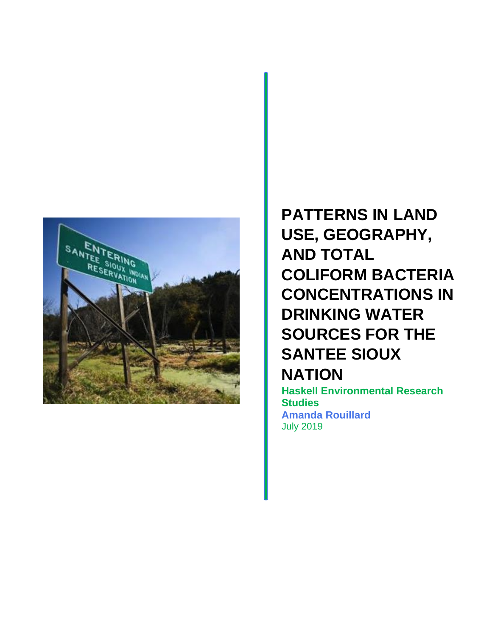

**PATTERNS IN LAND USE, GEOGRAPHY, AND TOTAL COLIFORM BACTERIA CONCENTRATIONS IN DRINKING WATER SOURCES FOR THE SANTEE SIOUX NATION**

**Haskell Environmental Research Studies Amanda Rouillard** July 2019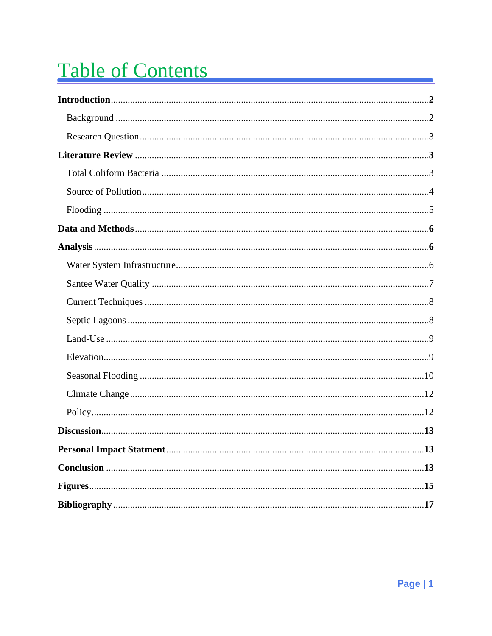# **Table of Contents**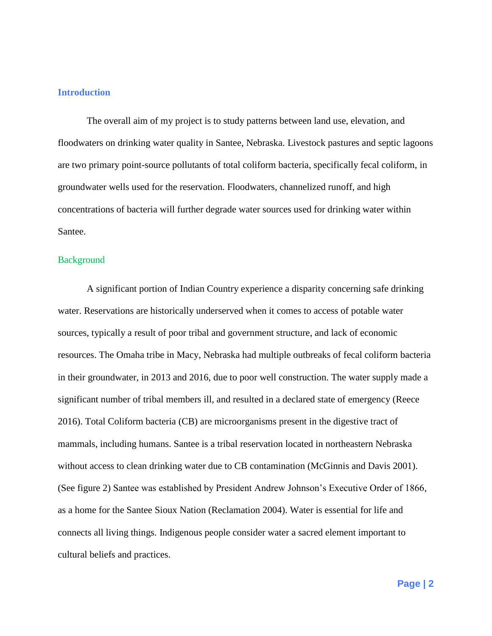## **Introduction**

The overall aim of my project is to study patterns between land use, elevation, and floodwaters on drinking water quality in Santee, Nebraska. Livestock pastures and septic lagoons are two primary point-source pollutants of total coliform bacteria, specifically fecal coliform, in groundwater wells used for the reservation. Floodwaters, channelized runoff, and high concentrations of bacteria will further degrade water sources used for drinking water within Santee.

#### **Background**

A significant portion of Indian Country experience a disparity concerning safe drinking water. Reservations are historically underserved when it comes to access of potable water sources, typically a result of poor tribal and government structure, and lack of economic resources. The Omaha tribe in Macy, Nebraska had multiple outbreaks of fecal coliform bacteria in their groundwater, in 2013 and 2016, due to poor well construction. The water supply made a significant number of tribal members ill, and resulted in a declared state of emergency (Reece 2016). Total Coliform bacteria (CB) are microorganisms present in the digestive tract of mammals, including humans. Santee is a tribal reservation located in northeastern Nebraska without access to clean drinking water due to CB contamination (McGinnis and Davis 2001). (See figure 2) Santee was established by President Andrew Johnson's Executive Order of 1866, as a home for the Santee Sioux Nation (Reclamation 2004). Water is essential for life and connects all living things. Indigenous people consider water a sacred element important to cultural beliefs and practices.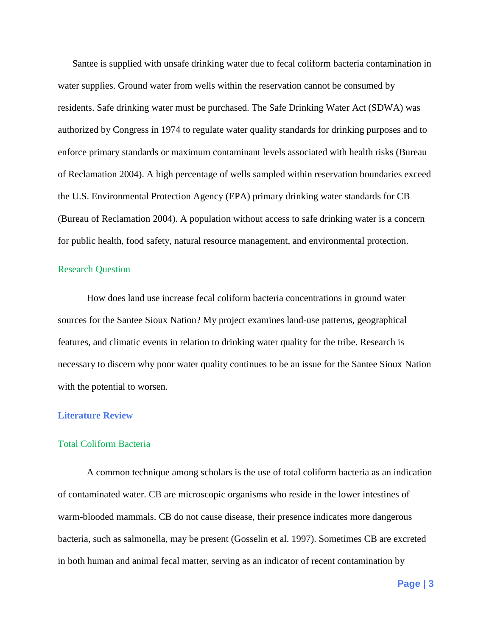Santee is supplied with unsafe drinking water due to fecal coliform bacteria contamination in water supplies. Ground water from wells within the reservation cannot be consumed by residents. Safe drinking water must be purchased. The Safe Drinking Water Act (SDWA) was authorized by Congress in 1974 to regulate water quality standards for drinking purposes and to enforce primary standards or maximum contaminant levels associated with health risks (Bureau of Reclamation 2004). A high percentage of wells sampled within reservation boundaries exceed the U.S. Environmental Protection Agency (EPA) primary drinking water standards for CB (Bureau of Reclamation 2004). A population without access to safe drinking water is a concern for public health, food safety, natural resource management, and environmental protection.

## Research Question

How does land use increase fecal coliform bacteria concentrations in ground water sources for the Santee Sioux Nation? My project examines land-use patterns, geographical features, and climatic events in relation to drinking water quality for the tribe. Research is necessary to discern why poor water quality continues to be an issue for the Santee Sioux Nation with the potential to worsen.

## **Literature Review**

#### Total Coliform Bacteria

A common technique among scholars is the use of total coliform bacteria as an indication of contaminated water. CB are microscopic organisms who reside in the lower intestines of warm-blooded mammals. CB do not cause disease, their presence indicates more dangerous bacteria, such as salmonella, may be present (Gosselin et al. 1997). Sometimes CB are excreted in both human and animal fecal matter, serving as an indicator of recent contamination by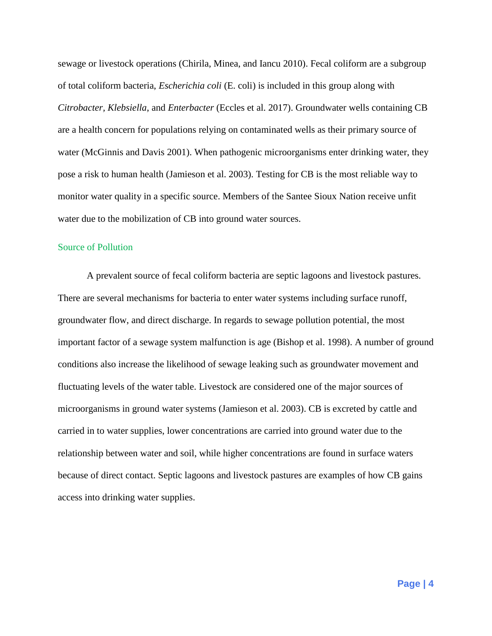sewage or livestock operations (Chirila, Minea, and Iancu 2010). Fecal coliform are a subgroup of total coliform bacteria, *Escherichia coli* (E. coli) is included in this group along with *Citrobacter, Klebsiella*, and *Enterbacter* (Eccles et al. 2017). Groundwater wells containing CB are a health concern for populations relying on contaminated wells as their primary source of water (McGinnis and Davis 2001). When pathogenic microorganisms enter drinking water, they pose a risk to human health (Jamieson et al. 2003). Testing for CB is the most reliable way to monitor water quality in a specific source. Members of the Santee Sioux Nation receive unfit water due to the mobilization of CB into ground water sources.

# Source of Pollution

A prevalent source of fecal coliform bacteria are septic lagoons and livestock pastures. There are several mechanisms for bacteria to enter water systems including surface runoff, groundwater flow, and direct discharge. In regards to sewage pollution potential, the most important factor of a sewage system malfunction is age (Bishop et al. 1998). A number of ground conditions also increase the likelihood of sewage leaking such as groundwater movement and fluctuating levels of the water table. Livestock are considered one of the major sources of microorganisms in ground water systems (Jamieson et al. 2003). CB is excreted by cattle and carried in to water supplies, lower concentrations are carried into ground water due to the relationship between water and soil, while higher concentrations are found in surface waters because of direct contact. Septic lagoons and livestock pastures are examples of how CB gains access into drinking water supplies.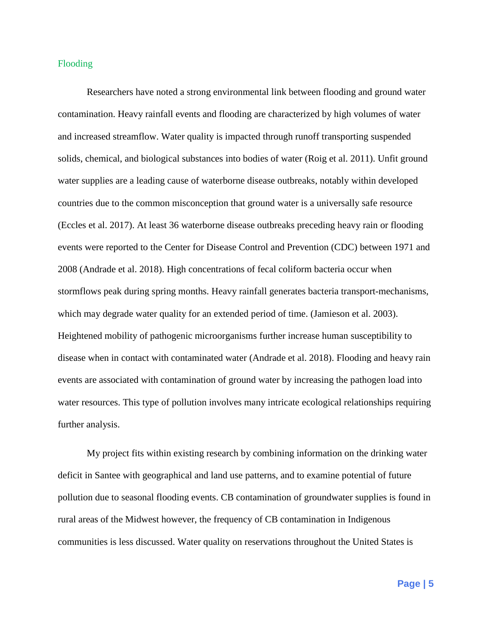## Flooding

Researchers have noted a strong environmental link between flooding and ground water contamination. Heavy rainfall events and flooding are characterized by high volumes of water and increased streamflow. Water quality is impacted through runoff transporting suspended solids, chemical, and biological substances into bodies of water (Roig et al. 2011). Unfit ground water supplies are a leading cause of waterborne disease outbreaks, notably within developed countries due to the common misconception that ground water is a universally safe resource (Eccles et al. 2017). At least 36 waterborne disease outbreaks preceding heavy rain or flooding events were reported to the Center for Disease Control and Prevention (CDC) between 1971 and 2008 (Andrade et al. 2018). High concentrations of fecal coliform bacteria occur when stormflows peak during spring months. Heavy rainfall generates bacteria transport-mechanisms, which may degrade water quality for an extended period of time. (Jamieson et al. 2003). Heightened mobility of pathogenic microorganisms further increase human susceptibility to disease when in contact with contaminated water (Andrade et al. 2018). Flooding and heavy rain events are associated with contamination of ground water by increasing the pathogen load into water resources. This type of pollution involves many intricate ecological relationships requiring further analysis.

My project fits within existing research by combining information on the drinking water deficit in Santee with geographical and land use patterns, and to examine potential of future pollution due to seasonal flooding events. CB contamination of groundwater supplies is found in rural areas of the Midwest however, the frequency of CB contamination in Indigenous communities is less discussed. Water quality on reservations throughout the United States is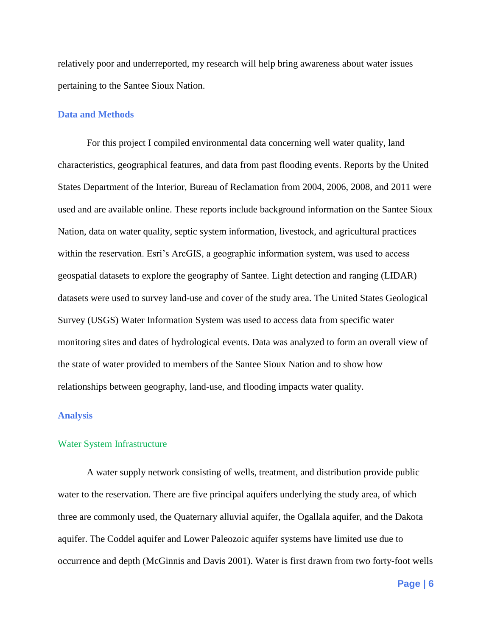relatively poor and underreported, my research will help bring awareness about water issues pertaining to the Santee Sioux Nation.

## **Data and Methods**

For this project I compiled environmental data concerning well water quality, land characteristics, geographical features, and data from past flooding events. Reports by the United States Department of the Interior, Bureau of Reclamation from 2004, 2006, 2008, and 2011 were used and are available online. These reports include background information on the Santee Sioux Nation, data on water quality, septic system information, livestock, and agricultural practices within the reservation. Esri's ArcGIS, a geographic information system, was used to access geospatial datasets to explore the geography of Santee. Light detection and ranging (LIDAR) datasets were used to survey land-use and cover of the study area. The United States Geological Survey (USGS) Water Information System was used to access data from specific water monitoring sites and dates of hydrological events. Data was analyzed to form an overall view of the state of water provided to members of the Santee Sioux Nation and to show how relationships between geography, land-use, and flooding impacts water quality.

## **Analysis**

## Water System Infrastructure

A water supply network consisting of wells, treatment, and distribution provide public water to the reservation. There are five principal aquifers underlying the study area, of which three are commonly used, the Quaternary alluvial aquifer, the Ogallala aquifer, and the Dakota aquifer. The Coddel aquifer and Lower Paleozoic aquifer systems have limited use due to occurrence and depth (McGinnis and Davis 2001). Water is first drawn from two forty-foot wells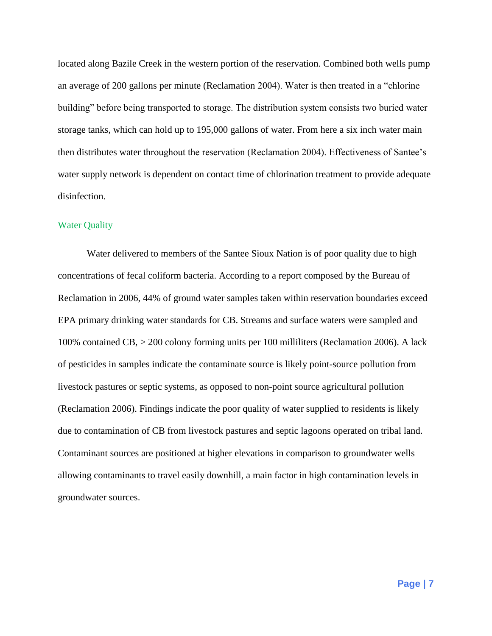located along Bazile Creek in the western portion of the reservation. Combined both wells pump an average of 200 gallons per minute (Reclamation 2004). Water is then treated in a "chlorine building" before being transported to storage. The distribution system consists two buried water storage tanks, which can hold up to 195,000 gallons of water. From here a six inch water main then distributes water throughout the reservation (Reclamation 2004). Effectiveness of Santee's water supply network is dependent on contact time of chlorination treatment to provide adequate disinfection.

## Water Quality

Water delivered to members of the Santee Sioux Nation is of poor quality due to high concentrations of fecal coliform bacteria. According to a report composed by the Bureau of Reclamation in 2006, 44% of ground water samples taken within reservation boundaries exceed EPA primary drinking water standards for CB. Streams and surface waters were sampled and 100% contained CB, > 200 colony forming units per 100 milliliters (Reclamation 2006). A lack of pesticides in samples indicate the contaminate source is likely point-source pollution from livestock pastures or septic systems, as opposed to non-point source agricultural pollution (Reclamation 2006). Findings indicate the poor quality of water supplied to residents is likely due to contamination of CB from livestock pastures and septic lagoons operated on tribal land. Contaminant sources are positioned at higher elevations in comparison to groundwater wells allowing contaminants to travel easily downhill, a main factor in high contamination levels in groundwater sources.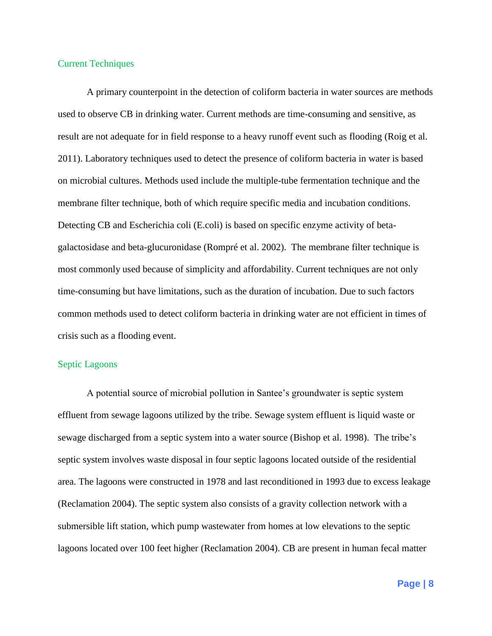## Current Techniques

A primary counterpoint in the detection of coliform bacteria in water sources are methods used to observe CB in drinking water. Current methods are time-consuming and sensitive, as result are not adequate for in field response to a heavy runoff event such as flooding (Roig et al. 2011). Laboratory techniques used to detect the presence of coliform bacteria in water is based on microbial cultures. Methods used include the multiple-tube fermentation technique and the membrane filter technique, both of which require specific media and incubation conditions. Detecting CB and Escherichia coli (E.coli) is based on specific enzyme activity of betagalactosidase and beta-glucuronidase (Rompré et al. 2002). The membrane filter technique is most commonly used because of simplicity and affordability. Current techniques are not only time-consuming but have limitations, such as the duration of incubation. Due to such factors common methods used to detect coliform bacteria in drinking water are not efficient in times of crisis such as a flooding event.

# Septic Lagoons

A potential source of microbial pollution in Santee's groundwater is septic system effluent from sewage lagoons utilized by the tribe. Sewage system effluent is liquid waste or sewage discharged from a septic system into a water source (Bishop et al. 1998). The tribe's septic system involves waste disposal in four septic lagoons located outside of the residential area. The lagoons were constructed in 1978 and last reconditioned in 1993 due to excess leakage (Reclamation 2004). The septic system also consists of a gravity collection network with a submersible lift station, which pump wastewater from homes at low elevations to the septic lagoons located over 100 feet higher (Reclamation 2004). CB are present in human fecal matter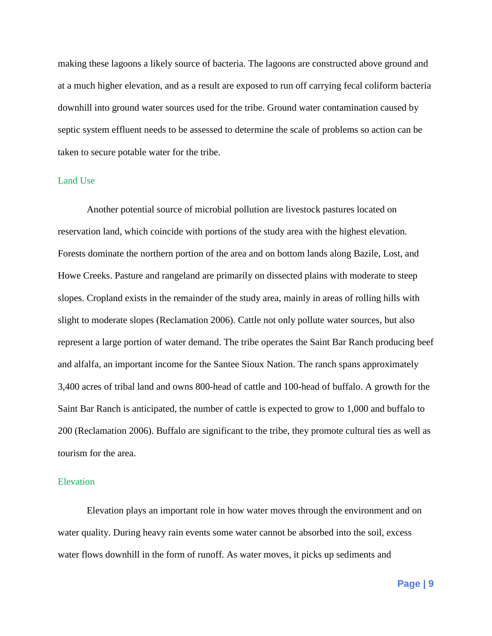making these lagoons a likely source of bacteria. The lagoons are constructed above ground and at a much higher elevation, and as a result are exposed to run off carrying fecal coliform bacteria downhill into ground water sources used for the tribe. Ground water contamination caused by septic system effluent needs to be assessed to determine the scale of problems so action can be taken to secure potable water for the tribe.

## Land Use

Another potential source of microbial pollution are livestock pastures located on reservation land, which coincide with portions of the study area with the highest elevation. Forests dominate the northern portion of the area and on bottom lands along Bazile, Lost, and Howe Creeks. Pasture and rangeland are primarily on dissected plains with moderate to steep slopes. Cropland exists in the remainder of the study area, mainly in areas of rolling hills with slight to moderate slopes (Reclamation 2006). Cattle not only pollute water sources, but also represent a large portion of water demand. The tribe operates the Saint Bar Ranch producing beef and alfalfa, an important income for the Santee Sioux Nation. The ranch spans approximately 3,400 acres of tribal land and owns 800-head of cattle and 100-head of buffalo. A growth for the Saint Bar Ranch is anticipated, the number of cattle is expected to grow to 1,000 and buffalo to 200 (Reclamation 2006). Buffalo are significant to the tribe, they promote cultural ties as well as tourism for the area.

## Elevation

Elevation plays an important role in how water moves through the environment and on water quality. During heavy rain events some water cannot be absorbed into the soil, excess water flows downhill in the form of runoff. As water moves, it picks up sediments and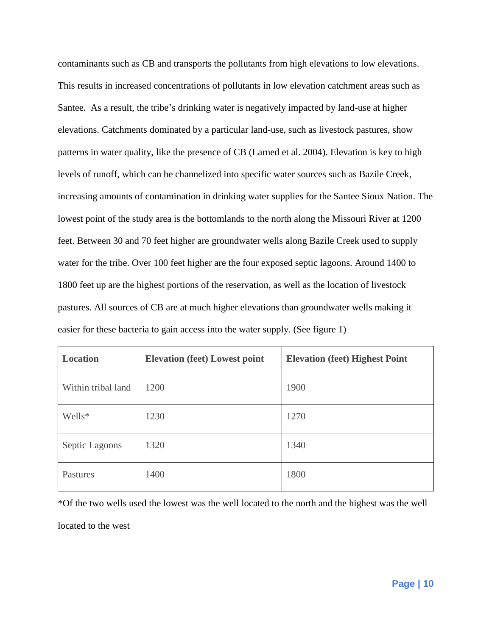contaminants such as CB and transports the pollutants from high elevations to low elevations. This results in increased concentrations of pollutants in low elevation catchment areas such as Santee. As a result, the tribe's drinking water is negatively impacted by land-use at higher elevations. Catchments dominated by a particular land-use, such as livestock pastures, show patterns in water quality, like the presence of CB (Larned et al. 2004). Elevation is key to high levels of runoff, which can be channelized into specific water sources such as Bazile Creek, increasing amounts of contamination in drinking water supplies for the Santee Sioux Nation. The lowest point of the study area is the bottomlands to the north along the Missouri River at 1200 feet. Between 30 and 70 feet higher are groundwater wells along Bazile Creek used to supply water for the tribe. Over 100 feet higher are the four exposed septic lagoons. Around 1400 to 1800 feet up are the highest portions of the reservation, as well as the location of livestock pastures. All sources of CB are at much higher elevations than groundwater wells making it easier for these bacteria to gain access into the water supply. (See figure 1)

| <b>Location</b>    | <b>Elevation (feet) Lowest point</b> | <b>Elevation (feet) Highest Point</b> |
|--------------------|--------------------------------------|---------------------------------------|
| Within tribal land | 1200                                 | 1900                                  |
| Wells*             | 1230                                 | 1270                                  |
| Septic Lagoons     | 1320                                 | 1340                                  |
| Pastures           | 1400                                 | 1800                                  |

\*Of the two wells used the lowest was the well located to the north and the highest was the well

located to the west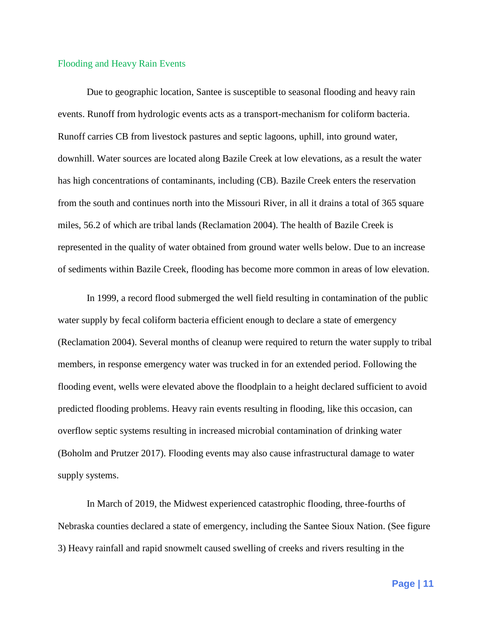## Flooding and Heavy Rain Events

Due to geographic location, Santee is susceptible to seasonal flooding and heavy rain events. Runoff from hydrologic events acts as a transport-mechanism for coliform bacteria. Runoff carries CB from livestock pastures and septic lagoons, uphill, into ground water, downhill. Water sources are located along Bazile Creek at low elevations, as a result the water has high concentrations of contaminants, including (CB). Bazile Creek enters the reservation from the south and continues north into the Missouri River, in all it drains a total of 365 square miles, 56.2 of which are tribal lands (Reclamation 2004). The health of Bazile Creek is represented in the quality of water obtained from ground water wells below. Due to an increase of sediments within Bazile Creek, flooding has become more common in areas of low elevation.

In 1999, a record flood submerged the well field resulting in contamination of the public water supply by fecal coliform bacteria efficient enough to declare a state of emergency (Reclamation 2004). Several months of cleanup were required to return the water supply to tribal members, in response emergency water was trucked in for an extended period. Following the flooding event, wells were elevated above the floodplain to a height declared sufficient to avoid predicted flooding problems. Heavy rain events resulting in flooding, like this occasion, can overflow septic systems resulting in increased microbial contamination of drinking water (Boholm and Prutzer 2017). Flooding events may also cause infrastructural damage to water supply systems.

In March of 2019, the Midwest experienced catastrophic flooding, three-fourths of Nebraska counties declared a state of emergency, including the Santee Sioux Nation. (See figure 3) Heavy rainfall and rapid snowmelt caused swelling of creeks and rivers resulting in the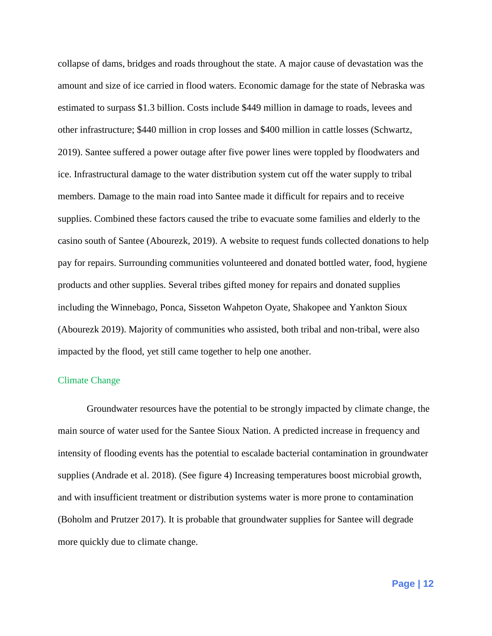collapse of dams, bridges and roads throughout the state. A major cause of devastation was the amount and size of ice carried in flood waters. Economic damage for the state of Nebraska was estimated to surpass \$1.3 billion. Costs include \$449 million in damage to roads, levees and other infrastructure; \$440 million in crop losses and \$400 million in cattle losses (Schwartz, 2019). Santee suffered a power outage after five power lines were toppled by floodwaters and ice. Infrastructural damage to the water distribution system cut off the water supply to tribal members. Damage to the main road into Santee made it difficult for repairs and to receive supplies. Combined these factors caused the tribe to evacuate some families and elderly to the casino south of Santee (Abourezk, 2019). A website to request funds collected donations to help pay for repairs. Surrounding communities volunteered and donated bottled water, food, hygiene products and other supplies. Several tribes gifted money for repairs and donated supplies including the Winnebago, Ponca, Sisseton Wahpeton Oyate, Shakopee and Yankton Sioux (Abourezk 2019). Majority of communities who assisted, both tribal and non-tribal, were also impacted by the flood, yet still came together to help one another.

#### Climate Change

Groundwater resources have the potential to be strongly impacted by climate change, the main source of water used for the Santee Sioux Nation. A predicted increase in frequency and intensity of flooding events has the potential to escalade bacterial contamination in groundwater supplies (Andrade et al. 2018). (See figure 4) Increasing temperatures boost microbial growth, and with insufficient treatment or distribution systems water is more prone to contamination (Boholm and Prutzer 2017). It is probable that groundwater supplies for Santee will degrade more quickly due to climate change.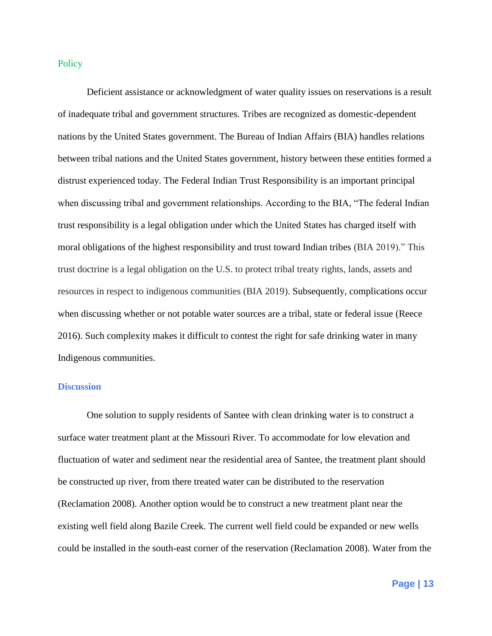## **Policy**

Deficient assistance or acknowledgment of water quality issues on reservations is a result of inadequate tribal and government structures. Tribes are recognized as domestic-dependent nations by the United States government. The Bureau of Indian Affairs (BIA) handles relations between tribal nations and the United States government, history between these entities formed a distrust experienced today. The Federal Indian Trust Responsibility is an important principal when discussing tribal and government relationships. According to the BIA, "The federal Indian trust responsibility is a legal obligation under which the United States has charged itself with moral obligations of the highest responsibility and trust toward Indian tribes (BIA 2019)." This trust doctrine is a legal obligation on the U.S. to protect tribal treaty rights, lands, assets and resources in respect to indigenous communities (BIA 2019). Subsequently, complications occur when discussing whether or not potable water sources are a tribal, state or federal issue (Reece 2016). Such complexity makes it difficult to contest the right for safe drinking water in many Indigenous communities.

## **Discussion**

One solution to supply residents of Santee with clean drinking water is to construct a surface water treatment plant at the Missouri River. To accommodate for low elevation and fluctuation of water and sediment near the residential area of Santee, the treatment plant should be constructed up river, from there treated water can be distributed to the reservation (Reclamation 2008). Another option would be to construct a new treatment plant near the existing well field along Bazile Creek. The current well field could be expanded or new wells could be installed in the south-east corner of the reservation (Reclamation 2008). Water from the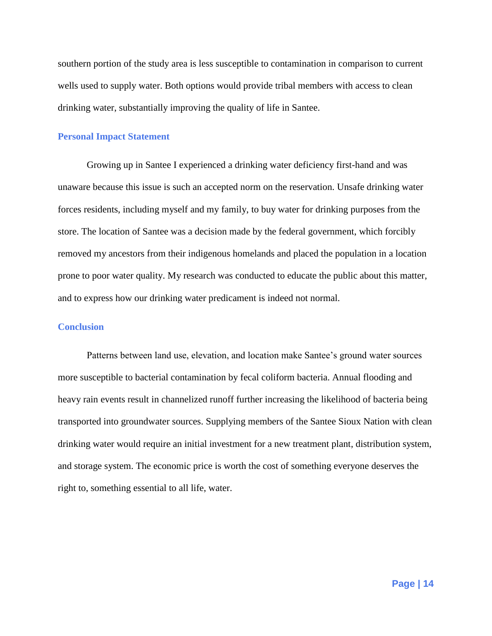southern portion of the study area is less susceptible to contamination in comparison to current wells used to supply water. Both options would provide tribal members with access to clean drinking water, substantially improving the quality of life in Santee.

## **Personal Impact Statement**

Growing up in Santee I experienced a drinking water deficiency first-hand and was unaware because this issue is such an accepted norm on the reservation. Unsafe drinking water forces residents, including myself and my family, to buy water for drinking purposes from the store. The location of Santee was a decision made by the federal government, which forcibly removed my ancestors from their indigenous homelands and placed the population in a location prone to poor water quality. My research was conducted to educate the public about this matter, and to express how our drinking water predicament is indeed not normal.

# **Conclusion**

Patterns between land use, elevation, and location make Santee's ground water sources more susceptible to bacterial contamination by fecal coliform bacteria. Annual flooding and heavy rain events result in channelized runoff further increasing the likelihood of bacteria being transported into groundwater sources. Supplying members of the Santee Sioux Nation with clean drinking water would require an initial investment for a new treatment plant, distribution system, and storage system. The economic price is worth the cost of something everyone deserves the right to, something essential to all life, water.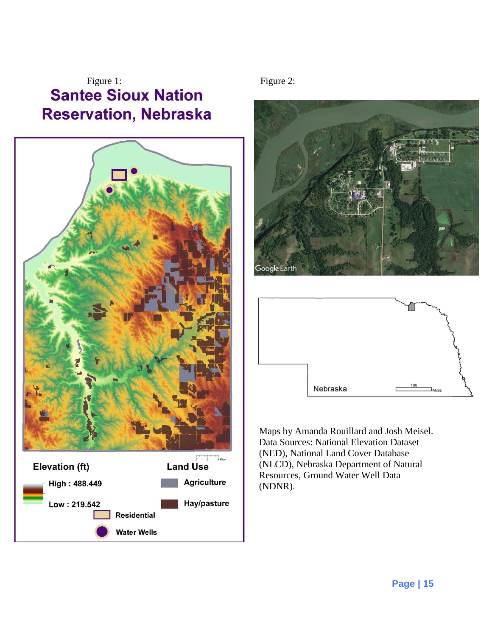# Figure 1: Figure 1: Figure 2: Figure 2: **Reservation, Nebraska**







Maps by Amanda Rouillard and Josh Meisel. Data Sources: National Elevation Dataset (NED), National Land Cover Database (NLCD), Nebraska Department of Natural Resources, Ground Water Well Data (NDNR).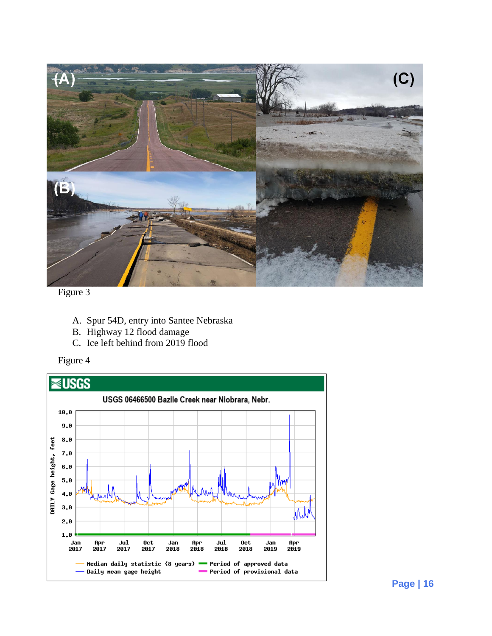

Figure 3

- A. Spur 54D, entry into Santee Nebraska
- B. Highway 12 flood damage
- C. Ice left behind from 2019 flood



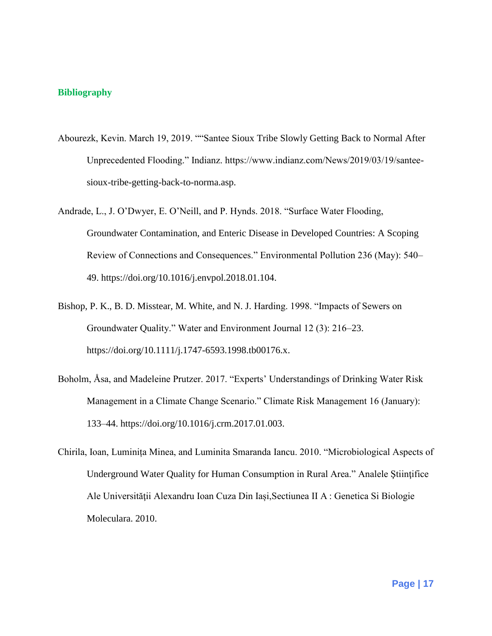## **Bibliography**

- Abourezk, Kevin. March 19, 2019. ""Santee Sioux Tribe Slowly Getting Back to Normal After Unprecedented Flooding." Indianz. https://www.indianz.com/News/2019/03/19/santeesioux-tribe-getting-back-to-norma.asp.
- Andrade, L., J. O'Dwyer, E. O'Neill, and P. Hynds. 2018. "Surface Water Flooding, Groundwater Contamination, and Enteric Disease in Developed Countries: A Scoping Review of Connections and Consequences." Environmental Pollution 236 (May): 540– 49. https://doi.org/10.1016/j.envpol.2018.01.104.
- Bishop, P. K., B. D. Misstear, M. White, and N. J. Harding. 1998. "Impacts of Sewers on Groundwater Quality." Water and Environment Journal 12 (3): 216–23. https://doi.org/10.1111/j.1747-6593.1998.tb00176.x.
- Boholm, Åsa, and Madeleine Prutzer. 2017. "Experts' Understandings of Drinking Water Risk Management in a Climate Change Scenario." Climate Risk Management 16 (January): 133–44. https://doi.org/10.1016/j.crm.2017.01.003.
- Chirila, Ioan, Luminița Minea, and Luminita Smaranda Iancu. 2010. "Microbiological Aspects of Underground Water Quality for Human Consumption in Rural Area." Analele Ştiinţifice Ale Universității Alexandru Ioan Cuza Din Iași, Sectiunea II A : Genetica Si Biologie Moleculara. 2010.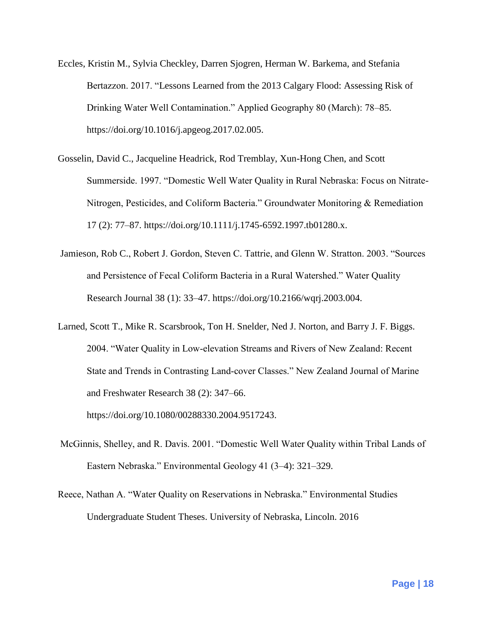- Eccles, Kristin M., Sylvia Checkley, Darren Sjogren, Herman W. Barkema, and Stefania Bertazzon. 2017. "Lessons Learned from the 2013 Calgary Flood: Assessing Risk of Drinking Water Well Contamination." Applied Geography 80 (March): 78–85. https://doi.org/10.1016/j.apgeog.2017.02.005.
- Gosselin, David C., Jacqueline Headrick, Rod Tremblay, Xun-Hong Chen, and Scott Summerside. 1997. "Domestic Well Water Quality in Rural Nebraska: Focus on Nitrate-Nitrogen, Pesticides, and Coliform Bacteria." Groundwater Monitoring & Remediation 17 (2): 77–87. https://doi.org/10.1111/j.1745-6592.1997.tb01280.x.
- Jamieson, Rob C., Robert J. Gordon, Steven C. Tattrie, and Glenn W. Stratton. 2003. "Sources and Persistence of Fecal Coliform Bacteria in a Rural Watershed." Water Quality Research Journal 38 (1): 33–47. https://doi.org/10.2166/wqrj.2003.004.
- Larned, Scott T., Mike R. Scarsbrook, Ton H. Snelder, Ned J. Norton, and Barry J. F. Biggs. 2004. "Water Quality in Low‐elevation Streams and Rivers of New Zealand: Recent State and Trends in Contrasting Land‐cover Classes." New Zealand Journal of Marine and Freshwater Research 38 (2): 347–66.

https://doi.org/10.1080/00288330.2004.9517243.

- McGinnis, Shelley, and R. Davis. 2001. "Domestic Well Water Quality within Tribal Lands of Eastern Nebraska." Environmental Geology 41 (3–4): 321–329.
- Reece, Nathan A. "Water Quality on Reservations in Nebraska." Environmental Studies Undergraduate Student Theses. University of Nebraska, Lincoln. 2016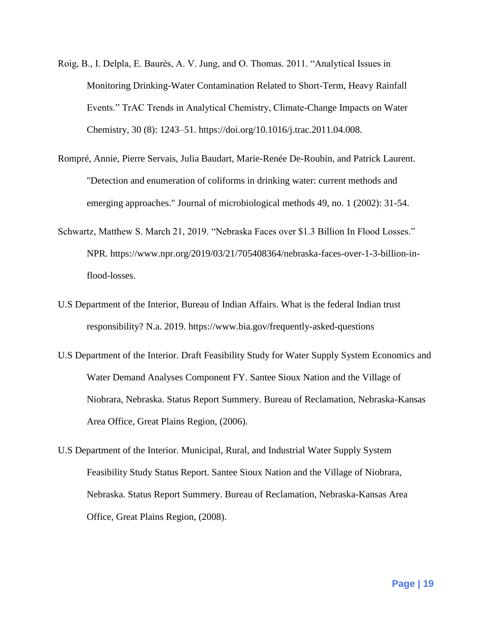- Roig, B., I. Delpla, E. Baurès, A. V. Jung, and O. Thomas. 2011. "Analytical Issues in Monitoring Drinking-Water Contamination Related to Short-Term, Heavy Rainfall Events." TrAC Trends in Analytical Chemistry, Climate-Change Impacts on Water Chemistry, 30 (8): 1243–51. https://doi.org/10.1016/j.trac.2011.04.008.
- Rompré, Annie, Pierre Servais, Julia Baudart, Marie-Renée De-Roubin, and Patrick Laurent. "Detection and enumeration of coliforms in drinking water: current methods and emerging approaches." Journal of microbiological methods 49, no. 1 (2002): 31-54.
- Schwartz, Matthew S. March 21, 2019. "Nebraska Faces over \$1.3 Billion In Flood Losses." NPR. https://www.npr.org/2019/03/21/705408364/nebraska-faces-over-1-3-billion-inflood-losses.
- U.S Department of the Interior, Bureau of Indian Affairs. What is the federal Indian trust responsibility? N.a. 2019. https://www.bia.gov/frequently-asked-questions
- U.S Department of the Interior. Draft Feasibility Study for Water Supply System Economics and Water Demand Analyses Component FY. Santee Sioux Nation and the Village of Niobrara, Nebraska. Status Report Summery. Bureau of Reclamation, Nebraska-Kansas Area Office, Great Plains Region, (2006).
- U.S Department of the Interior. Municipal, Rural, and Industrial Water Supply System Feasibility Study Status Report. Santee Sioux Nation and the Village of Niobrara, Nebraska. Status Report Summery. Bureau of Reclamation, Nebraska-Kansas Area Office, Great Plains Region, (2008).